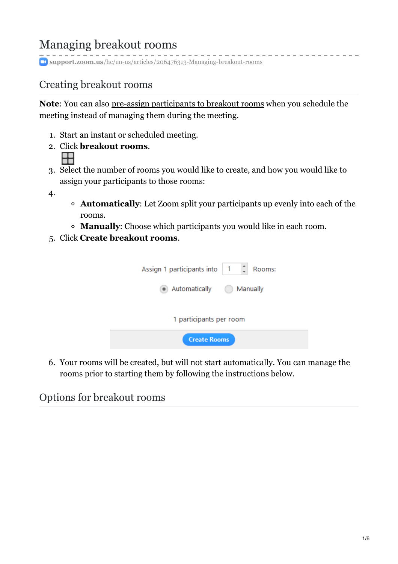# Managing breakout rooms

**support.zoom.us**[/hc/en-us/articles/206476313-Managing-breakout-rooms](https://support.zoom.us/hc/en-us/articles/206476313-Managing-breakout-rooms)

# Creating breakout rooms

**Note**: You can also pre-assign [participants](https://support.zoom.us/hc/en-us/articles/360032752671) to breakout rooms when you schedule the meeting instead of managing them during the meeting.

- 1. Start an instant or scheduled meeting.
- 2. Click **breakout rooms**. 8
- 3. Select the number of rooms you would like to create, and how you would like to assign your participants to those rooms:
- 4.
- **Automatically**: Let Zoom split your participants up evenly into each of the rooms.
- **Manually**: Choose which participants you would like in each room.
- 5. Click **Create breakout rooms**.

| Assign 1 participants into | (1)<br>Rooms: |  |
|----------------------------|---------------|--|
| • Automatically            | Manually      |  |
| 1 participants per room    |               |  |
| <b>Create Rooms</b>        |               |  |

6. Your rooms will be created, but will not start automatically. You can manage the rooms prior to starting them by following the instructions below.

Options for breakout rooms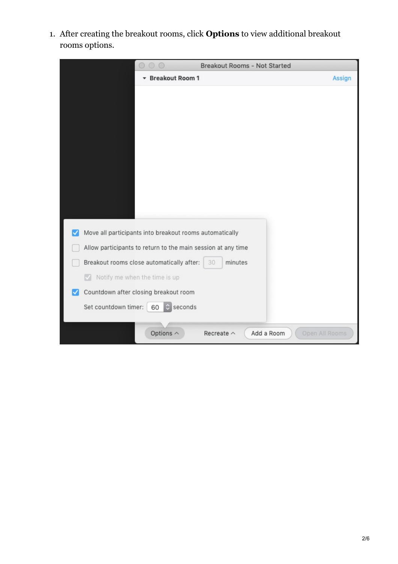1. After creating the breakout rooms, click **Options** to view additional breakout rooms options.

|                      | $\odot$                                                      | <b>Breakout Rooms - Not Started</b> |                              |        |
|----------------------|--------------------------------------------------------------|-------------------------------------|------------------------------|--------|
|                      | <b>Breakout Room 1</b><br>▼                                  |                                     |                              | Assign |
|                      |                                                              |                                     |                              |        |
|                      |                                                              |                                     |                              |        |
|                      |                                                              |                                     |                              |        |
|                      |                                                              |                                     |                              |        |
|                      |                                                              |                                     |                              |        |
|                      |                                                              |                                     |                              |        |
|                      |                                                              |                                     |                              |        |
|                      |                                                              |                                     |                              |        |
|                      |                                                              |                                     |                              |        |
|                      |                                                              |                                     |                              |        |
|                      |                                                              |                                     |                              |        |
| ✓                    | Move all participants into breakout rooms automatically      |                                     |                              |        |
|                      |                                                              |                                     |                              |        |
|                      | Allow participants to return to the main session at any time |                                     |                              |        |
|                      | Breakout rooms close automatically after:                    | minutes<br>30                       |                              |        |
| M                    | Notify me when the time is up                                |                                     |                              |        |
| ✓                    | Countdown after closing breakout room                        |                                     |                              |        |
| Set countdown timer: | seconds<br>60                                                |                                     |                              |        |
|                      |                                                              |                                     |                              |        |
|                      | Options $\wedge$                                             | Recreate $\wedge$                   | Open All Rooms<br>Add a Room |        |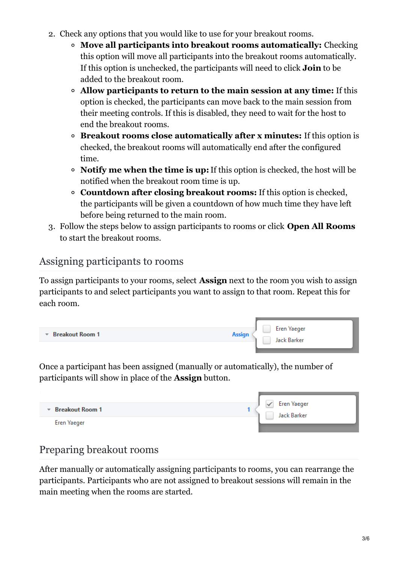- 2. Check any options that you would like to use for your breakout rooms.
	- **Move all participants into breakout rooms automatically:** Checking this option will move all participants into the breakout rooms automatically. If this option is unchecked, the participants will need to click **Join** to be added to the breakout room.
	- **Allow participants to return to the main session at any time:** If this option is checked, the participants can move back to the main session from their meeting controls. If this is disabled, they need to wait for the host to end the breakout rooms.
	- **Breakout rooms close automatically after x minutes:** If this option is checked, the breakout rooms will automatically end after the configured time.
	- **Notify me when the time is up:**If this option is checked, the host will be notified when the breakout room time is up.
	- **Countdown after closing breakout rooms:** If this option is checked, the participants will be given a countdown of how much time they have left before being returned to the main room.
- 3. Follow the steps below to assign participants to rooms or click **Open All Rooms** to start the breakout rooms.

## Assigning participants to rooms

To assign participants to your rooms, select **Assign** next to the room you wish to assign participants to and select participants you want to assign to that room. Repeat this for each room.

| ▼ Breakout Room 1 | Eren Yaeger<br><b>Assign</b> |  |
|-------------------|------------------------------|--|
|                   | Jack Barker                  |  |
|                   |                              |  |

Once a participant has been assigned (manually or automatically), the number of participants will show in place of the **Assign** button.

| <b>Breakout Room 1</b><br>$\overline{\phantom{a}}$ | <b>Eren Yaeger</b><br>Jack Barker |
|----------------------------------------------------|-----------------------------------|
| <b>Eren Yaeger</b>                                 |                                   |

# Preparing breakout rooms

After manually or automatically assigning participants to rooms, you can rearrange the participants. Participants who are not assigned to breakout sessions will remain in the main meeting when the rooms are started.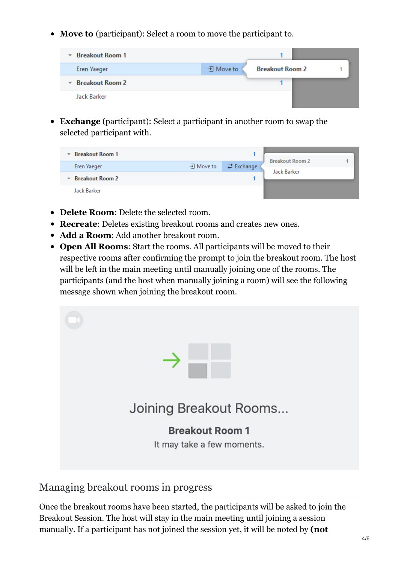**Move to** (participant): Select a room to move the participant to.



**Exchange** (participant): Select a participant in another room to swap the selected participant with.

| <b>Breakout Room 1</b><br>$\overline{\mathbf{v}}$ |           |                   |                                       |  |
|---------------------------------------------------|-----------|-------------------|---------------------------------------|--|
| Eren Yaeger                                       | • Move to | <b>≥</b> Exchange | <b>Breakout Room 2</b><br>Jack Barker |  |
| $\overline{\phantom{a}}$ Breakout Room 2          |           |                   |                                       |  |
| Jack Barker                                       |           |                   |                                       |  |

- **Delete Room**: Delete the selected room.
- **Recreate**: Deletes existing breakout rooms and creates new ones.
- **Add a Room**: Add another breakout room.
- **Open All Rooms**: Start the rooms. All participants will be moved to their respective rooms after confirming the prompt to join the breakout room. The host will be left in the main meeting until manually joining one of the rooms. The participants (and the host when manually joining a room) will see the following message shown when joining the breakout room.



## Managing breakout rooms in progress

Once the breakout rooms have been started, the participants will be asked to join the Breakout Session. The host will stay in the main meeting until joining a session manually. If a participant has not joined the session yet, it will be noted by **(not**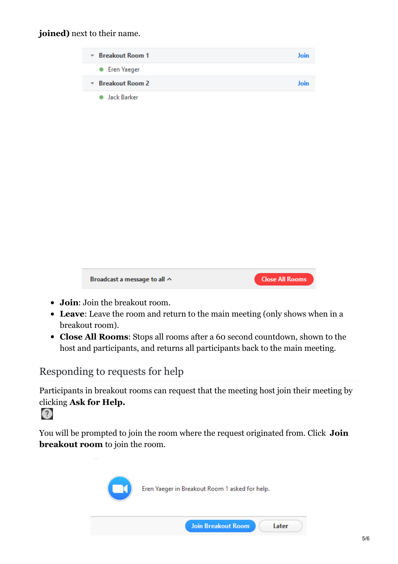#### **joined)** next to their name.

| $\overline{\phantom{a}}$ Breakout Room 1 | Join |
|------------------------------------------|------|
| • Eren Yaeger                            |      |
| $\overline{\phantom{a}}$ Breakout Room 2 | Join |
| Jack Barker                              |      |



- **Join**: Join the breakout room.
- **Leave**: Leave the room and return to the main meeting (only shows when in a breakout room).
- **Close All Rooms**: Stops all rooms after a 60 second countdown, shown to the host and participants, and returns all participants back to the main meeting.

## Responding to requests for help

Participants in breakout rooms can request that the meeting host join their meeting by clicking **Ask for Help.**



You will be prompted to join the room where the request originated from. Click **Join breakout room** to join the room.